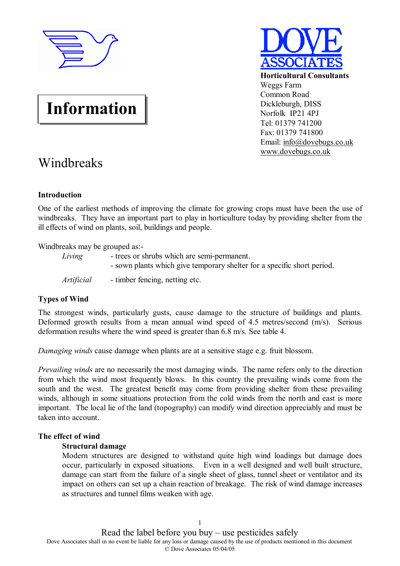

**Horticultural Consultants** Weggs Farm Common Road Dickleburgh, DISS Norfolk IP21 4PJ Tel: 01379 741200 Fax: 01379 741800 Email: [info@dovebugs.co.uk](mailto:info@dovebugs.co.uk) [www.dovebugs.co.uk](http://www.dovebugs.co.uk)

# **Information**

# Windbreaks

# **Introduction**

One of the earliest methods of improving the climate for growing crops must have been the use of windbreaks. They have an important part to play in horticulture today by providing shelter from the ill effects of wind on plants, soil, buildings and people.

Windbreaks may be grouped as:-

| Living     | - trees or shrubs which are semi-permanent.                             |
|------------|-------------------------------------------------------------------------|
|            | - sown plants which give temporary shelter for a specific short period. |
| Artificial | - timber fencing, netting etc.                                          |

# **Types of Wind**

The strongest winds, particularly gusts, cause damage to the structure of buildings and plants. Deformed growth results from a mean annual wind speed of 4.5 metres/second (m/s). Serious deformation results where the wind speed is greater than 6.8 m/s. See table 4.

*Damaging winds* cause damage when plants are at a sensitive stage e.g. fruit blossom.

*Prevailing winds* are no necessarily the most damaging winds. The name refers only to the direction from which the wind most frequently blows. In this country the prevailing winds come from the south and the west. The greatest benefit may come from providing shelter from these prevailing winds, although in some situations protection from the cold winds from the north and east is more important. The local lie of the land (topography) can modify wind direction appreciably and must be taken into account.

# **The effect of wind**

# **Structural damage**

Modern structures are designed to withstand quite high wind loadings but damage does occur, particularly in exposed situations. Even in a well designed and well built structure, damage can start from the failure of a single sheet of glass, tunnel sheet or ventilator and its impact on others can set up a chain reaction of breakage. The risk of wind damage increases as structures and tunnel films weaken with age.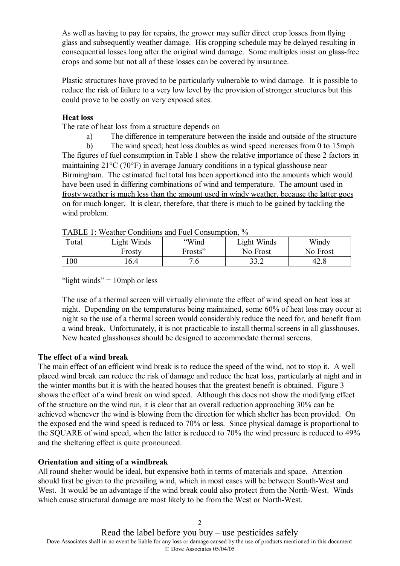As well as having to pay for repairs, the grower may suffer direct crop losses from flying glass and subsequently weather damage. His cropping schedule may be delayed resulting in consequential losses long after the original wind damage. Some multiples insist on glass-free crops and some but not all of these losses can be covered by insurance.

Plastic structures have proved to be particularly vulnerable to wind damage. It is possible to reduce the risk of failure to a very low level by the provision of stronger structures but this could prove to be costly on very exposed sites.

# **Heat loss**

The rate of heat loss from a structure depends on

a) The difference in temperature between the inside and outside of the structure

b) The wind speed; heat loss doubles as wind speed increases from 0 to 15mph The figures of fuel consumption in Table 1 show the relative importance of these 2 factors in maintaining 21°C (70°F) in average January conditions in a typical glasshouse near Birmingham. The estimated fuel total has been apportioned into the amounts which would have been used in differing combinations of wind and temperature. The amount used in frosty weather is much less than the amount used in windy weather, because the latter goes on for much longer. It is clear, therefore, that there is much to be gained by tackling the wind problem.

| Total | Light Winds | "Wind   | Light Winds | Windy    |
|-------|-------------|---------|-------------|----------|
|       | Frosty      | Frosts" | No Frost    | No Frost |
| 100   | 6.4         |         | 33.2        |          |

TABLE 1: Weather Conditions and Fuel Consumption,  $\frac{0}{6}$ 

"light winds"  $= 10$ mph or less

The use of a thermal screen will virtually eliminate the effect of wind speed on heat loss at night. Depending on the temperatures being maintained, some 60% of heat loss may occur at night so the use of a thermal screen would considerably reduce the need for, and benefit from a wind break. Unfortunately, it is not practicable to install thermal screens in all glasshouses. New heated glasshouses should be designed to accommodate thermal screens.

# **The effect of a wind break**

The main effect of an efficient wind break is to reduce the speed of the wind, not to stop it. A well placed wind break can reduce the risk of damage and reduce the heat loss, particularly at night and in the winter months but it is with the heated houses that the greatest benefit is obtained. Figure 3 shows the effect of a wind break on wind speed. Although this does not show the modifying effect of the structure on the wind run, it is clear that an overall reduction approaching 30% can be achieved whenever the wind is blowing from the direction for which shelter has been provided. On the exposed end the wind speed is reduced to 70% or less. Since physical damage is proportional to the SQUARE of wind speed, when the latter is reduced to 70% the wind pressure is reduced to 49% and the sheltering effect is quite pronounced.

# **Orientation and siting of a windbreak**

All round shelter would be ideal, but expensive both in terms of materials and space. Attention should first be given to the prevailing wind, which in most cases will be between South-West and West. It would be an advantage if the wind break could also protect from the North-West. Winds which cause structural damage are most likely to be from the West or North-West.

> 2 Read the label before you buy  $-$  use pesticides safely

Dove Associates shall in no event be liable for any loss or damage caused by the use of products mentioned in this document © Dove Associates 05/04/05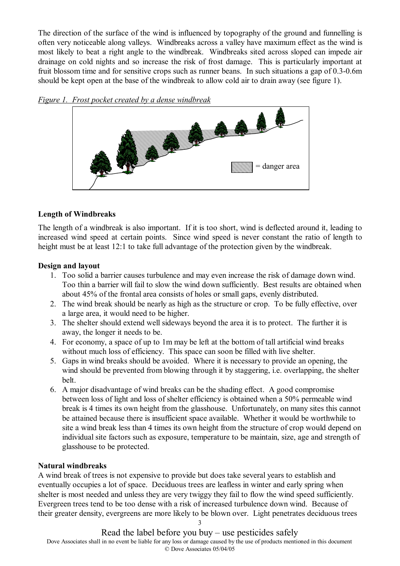The direction of the surface of the wind is influenced by topography of the ground and funnelling is often very noticeable along valleys. Windbreaks across a valley have maximum effect as the wind is most likely to beat a right angle to the windbreak. Windbreaks sited across sloped can impede air drainage on cold nights and so increase the risk of frost damage. This is particularly important at fruit blossom time and for sensitive crops such as runner beans. In such situations a gap of 0.3-0.6m should be kept open at the base of the windbreak to allow cold air to drain away (see figure 1).



# **Length of Windbreaks**

The length of a windbreak is also important. If it is too short, wind is deflected around it, leading to increased wind speed at certain points. Since wind speed is never constant the ratio of length to height must be at least 12:1 to take full advantage of the protection given by the windbreak.

# **Design and layout**

- 1. Too solid a barrier causes turbulence and may even increase the risk of damage down wind. Too thin a barrier will fail to slow the wind down sufficiently. Best results are obtained when about 45% of the frontal area consists of holes or small gaps, evenly distributed.
- 2. The wind break should be nearly as high as the structure or crop. To be fully effective, over a large area, it would need to be higher.
- 3. The shelter should extend well sideways beyond the area it is to protect. The further it is away, the longer it needs to be.
- 4. For economy, a space of up to 1m may be left at the bottom of tall artificial wind breaks without much loss of efficiency. This space can soon be filled with live shelter.
- 5. Gaps in wind breaks should be avoided. Where it is necessary to provide an opening, the wind should be prevented from blowing through it by staggering, i.e. overlapping, the shelter belt.
- 6. A major disadvantage of wind breaks can be the shading effect. A good compromise between loss of light and loss of shelter efficiency is obtained when a 50% permeable wind break is 4 times its own height from the glasshouse. Unfortunately, on many sites this cannot be attained because there is insufficient space available. Whether it would be worthwhile to site a wind break less than 4 times its own height from the structure of crop would depend on individual site factors such as exposure, temperature to be maintain, size, age and strength of glasshouse to be protected.

# **Natural windbreaks**

A wind break of trees is not expensive to provide but does take several years to establish and eventually occupies a lot of space. Deciduous trees are leafless in winter and early spring when shelter is most needed and unless they are very twiggy they fail to flow the wind speed sufficiently. Evergreen trees tend to be too dense with a risk of increased turbulence down wind. Because of their greater density, evergreens are more likely to be blown over. Light penetrates deciduous trees

> 3 Read the label before you buy  $-$  use pesticides safely

Dove Associates shall in no event be liable for any loss or damage caused by the use of products mentioned in this document © Dove Associates 05/04/05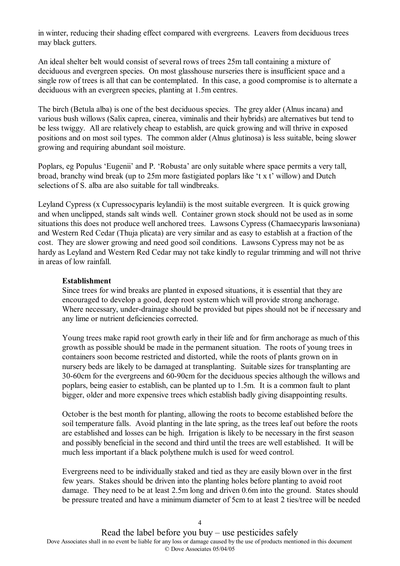in winter, reducing their shading effect compared with evergreens. Leavers from deciduous trees may black gutters.

An ideal shelter belt would consist of several rows of trees 25m tall containing a mixture of deciduous and evergreen species. On most glasshouse nurseries there is insufficient space and a single row of trees is all that can be contemplated. In this case, a good compromise is to alternate a deciduous with an evergreen species, planting at 1.5m centres.

The birch (Betula alba) is one of the best deciduous species. The grey alder (Alnus incana) and various bush willows (Salix caprea, cinerea, viminalis and their hybrids) are alternatives but tend to be less twiggy. All are relatively cheap to establish, are quick growing and will thrive in exposed positions and on most soil types. The common alder (Alnus glutinosa) is less suitable, being slower growing and requiring abundant soil moisture.

Poplars, eg Populus 'Eugenii' and P. 'Robusta' are only suitable where space permits a very tall, broad, branchy wind break (up to 25m more fastigiated poplars like 't x t' willow) and Dutch selections of S. alba are also suitable for tall windbreaks.

Leyland Cypress (x Cupressocyparis leylandii) is the most suitable evergreen. It is quick growing and when unclipped, stands salt winds well. Container grown stock should not be used as in some situations this does not produce well anchored trees. Lawsons Cypress (Chamaecyparis lawsoniana) and Western Red Cedar (Thuja plicata) are very similar and as easy to establish at a fraction of the cost. They are slower growing and need good soil conditions. Lawsons Cypress may not be as hardy as Leyland and Western Red Cedar may not take kindly to regular trimming and will not thrive in areas of low rainfall.

#### **Establishment**

Since trees for wind breaks are planted in exposed situations, it is essential that they are encouraged to develop a good, deep root system which will provide strong anchorage. Where necessary, under-drainage should be provided but pipes should not be if necessary and any lime or nutrient deficiencies corrected.

Young trees make rapid root growth early in their life and for firm anchorage as much of this growth as possible should be made in the permanent situation. The roots of young trees in containers soon become restricted and distorted, while the roots of plants grown on in nursery beds are likely to be damaged at transplanting. Suitable sizes for transplanting are 30-60cm for the evergreens and 60-90cm for the deciduous species although the willows and poplars, being easier to establish, can be planted up to 1.5m. It is a common fault to plant bigger, older and more expensive trees which establish badly giving disappointing results.

October is the best month for planting, allowing the roots to become established before the soil temperature falls. Avoid planting in the late spring, as the trees leaf out before the roots are established and losses can be high. Irrigation is likely to be necessary in the first season and possibly beneficial in the second and third until the trees are well established. It will be much less important if a black polythene mulch is used for weed control.

Evergreens need to be individually staked and tied as they are easily blown over in the first few years. Stakes should be driven into the planting holes before planting to avoid root damage. They need to be at least 2.5m long and driven 0.6m into the ground. States should be pressure treated and have a minimum diameter of 5cm to at least 2 ties/tree will be needed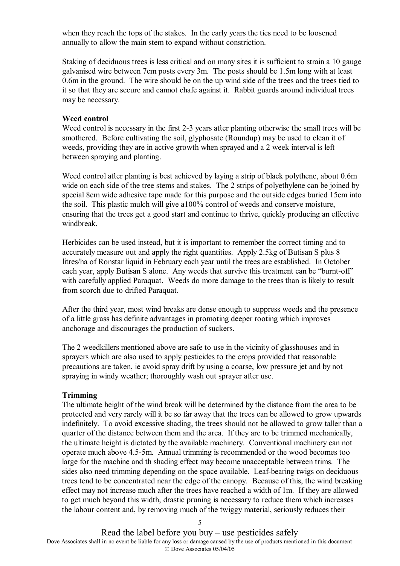when they reach the tops of the stakes. In the early years the ties need to be loosened annually to allow the main stem to expand without constriction.

Staking of deciduous trees is less critical and on many sites it is sufficient to strain a 10 gauge galvanised wire between 7cm posts every 3m. The posts should be 1.5m long with at least 0.6m in the ground. The wire should be on the up wind side of the trees and the trees tied to it so that they are secure and cannot chafe against it. Rabbit guards around individual trees may be necessary.

#### **Weed control**

Weed control is necessary in the first 2-3 years after planting otherwise the small trees will be smothered. Before cultivating the soil, glyphosate (Roundup) may be used to clean it of weeds, providing they are in active growth when sprayed and a 2 week interval is left between spraying and planting.

Weed control after planting is best achieved by laying a strip of black polythene, about 0.6m wide on each side of the tree stems and stakes. The 2 strips of polyethylene can be joined by special 8cm wide adhesive tape made for this purpose and the outside edges buried 15cm into the soil. This plastic mulch will give a100% control of weeds and conserve moisture, ensuring that the trees get a good start and continue to thrive, quickly producing an effective windbreak.

Herbicides can be used instead, but it is important to remember the correct timing and to accurately measure out and apply the right quantities. Apply 2.5kg of Butisan S plus 8 litres/ha of Ronstar liquid in February each year until the trees are established. In October each year, apply Butisan S alone. Any weeds that survive this treatment can be "burnt-off" with carefully applied Paraquat. Weeds do more damage to the trees than is likely to result from scorch due to drifted Paraquat.

After the third year, most wind breaks are dense enough to suppress weeds and the presence of a little grass has definite advantages in promoting deeper rooting which improves anchorage and discourages the production of suckers.

The 2 weedkillers mentioned above are safe to use in the vicinity of glasshouses and in sprayers which are also used to apply pesticides to the crops provided that reasonable precautions are taken, ie avoid spray drift by using a coarse, low pressure jet and by not spraying in windy weather; thoroughly wash out sprayer after use.

#### **Trimming**

The ultimate height of the wind break will be determined by the distance from the area to be protected and very rarely will it be so far away that the trees can be allowed to grow upwards indefinitely. To avoid excessive shading, the trees should not be allowed to grow taller than a quarter of the distance between them and the area. If they are to be trimmed mechanically, the ultimate height is dictated by the available machinery. Conventional machinery can not operate much above 4.5-5m. Annual trimming is recommended or the wood becomes too large for the machine and th shading effect may become unacceptable between trims. The sides also need trimming depending on the space available. Leaf-bearing twigs on deciduous trees tend to be concentrated near the edge of the canopy. Because of this, the wind breaking effect may not increase much after the trees have reached a width of 1m. If they are allowed to get much beyond this width, drastic pruning is necessary to reduce them which increases the labour content and, by removing much of the twiggy material, seriously reduces their

Read the label before you buy  $-$  use pesticides safely Dove Associates shall in no event be liable for any loss or damage caused by the use of products mentioned in this document © Dove Associates 05/04/05

 $\leq$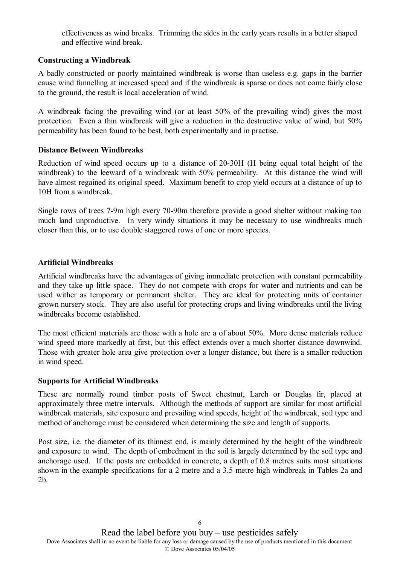effectiveness as wind breaks. Trimming the sides in the early years results in a better shaped and effective wind break.

# **Constructing a Windbreak**

A badly constructed or poorly maintained windbreak is worse than useless e.g. gaps in the barrier cause wind funnelling at increased speed and if the windbreak is sparse or does not come fairly close to the ground, the result is local acceleration of wind.

A windbreak facing the prevailing wind (or at least 50% of the prevailing wind) gives the most protection. Even a thin windbreak will give a reduction in the destructive value of wind, but 50% permeability has been found to be best, both experimentally and in practise.

#### **Distance Between Windbreaks**

Reduction of wind speed occurs up to a distance of 20-30H (H being equal total height of the windbreak) to the leeward of a windbreak with 50% permeability. At this distance the wind will have almost regained its original speed. Maximum benefit to crop yield occurs at a distance of up to 10H from a windbreak.

Single rows of trees 7-9m high every 70-90m therefore provide a good shelter without making too much land unproductive. In very windy situations it may be necessary to use windbreaks much closer than this, or to use double staggered rows of one or more species.

#### **Artificial Windbreaks**

Artificial windbreaks have the advantages of giving immediate protection with constant permeability and they take up little space. They do not compete with crops for water and nutrients and can be used wither as temporary or permanent shelter. They are ideal for protecting units of container grown nursery stock. They are also useful for protecting crops and living windbreaks until the living windbreaks become established.

The most efficient materials are those with a hole are a of about 50%. More dense materials reduce wind speed more markedly at first, but this effect extends over a much shorter distance downwind. Those with greater hole area give protection over a longer distance, but there is a smaller reduction in wind speed.

#### **Supports for Artificial Windbreaks**

These are normally round timber posts of Sweet chestnut, Larch or Douglas fir, placed at approximately three metre intervals. Although the methods of support are similar for most artificial windbreak materials, site exposure and prevailing wind speeds, height of the windbreak, soil type and method of anchorage must be considered when determining the size and length of supports.

Post size, i.e. the diameter of its thinnest end, is mainly determined by the height of the windbreak and exposure to wind. The depth of embedment in the soil is largely determined by the soil type and anchorage used. If the posts are embedded in concrete, a depth of 0.8 metres suits most situations shown in the example specifications for a 2 metre and a 3.5 metre high windbreak in Tables 2a and 2b.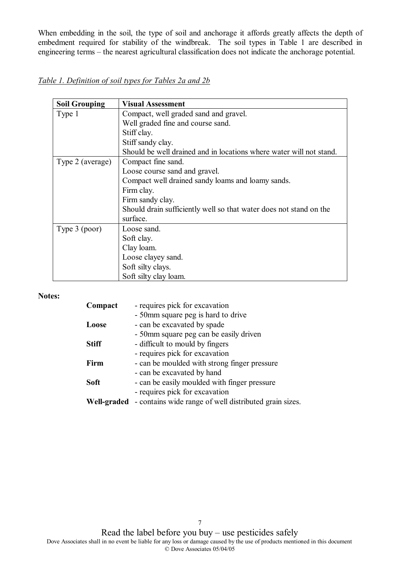When embedding in the soil, the type of soil and anchorage it affords greatly affects the depth of embedment required for stability of the windbreak. The soil types in Table 1 are described in engineering terms – the nearest agricultural classification does not indicate the anchorage potential.

| Table 1. Definition of soil types for Tables 2a and 2b |  |  |  |  |
|--------------------------------------------------------|--|--|--|--|
|                                                        |  |  |  |  |

| <b>Soil Grouping</b> | <b>Visual Assessment</b>                                            |
|----------------------|---------------------------------------------------------------------|
| Type 1               | Compact, well graded sand and gravel.                               |
|                      | Well graded fine and course sand.                                   |
|                      | Stiff clay.                                                         |
|                      | Stiff sandy clay.                                                   |
|                      | Should be well drained and in locations where water will not stand. |
| Type 2 (average)     | Compact fine sand.                                                  |
|                      | Loose course sand and gravel.                                       |
|                      | Compact well drained sandy loams and loamy sands.                   |
|                      | Firm clay.                                                          |
|                      | Firm sandy clay.                                                    |
|                      | Should drain sufficiently well so that water does not stand on the  |
|                      | surface.                                                            |
| Type 3 (poor)        | Loose sand.                                                         |
|                      | Soft clay.                                                          |
|                      | Clay loam.                                                          |
|                      | Loose clayey sand.                                                  |
|                      | Soft silty clays.                                                   |
|                      | Soft silty clay loam.                                               |

#### **Notes:**

| Compact      | - requires pick for excavation                         |
|--------------|--------------------------------------------------------|
|              | - 50mm square peg is hard to drive                     |
| Loose        | - can be excavated by spade                            |
|              | - 50mm square peg can be easily driven                 |
| <b>Stiff</b> | - difficult to mould by fingers                        |
|              | - requires pick for excavation                         |
| Firm         | - can be moulded with strong finger pressure           |
|              | - can be excavated by hand                             |
| <b>Soft</b>  | - can be easily moulded with finger pressure           |
|              | - requires pick for excavation                         |
| Well-graded  | - contains wide range of well distributed grain sizes. |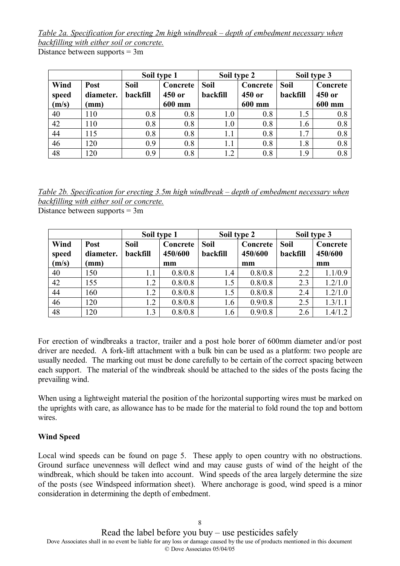*Table 2a. Specification for erecting 2m high windbreak – depth of embedment necessary when backfilling with either soil or concrete.*

Distance between supports = 3m

| Soil type 1            |                           | Soil type 2             |                              | Soil type 3      |                              |                         |                              |
|------------------------|---------------------------|-------------------------|------------------------------|------------------|------------------------------|-------------------------|------------------------------|
| Wind<br>speed<br>(m/s) | Post<br>diameter.<br>(mm) | <b>Soil</b><br>backfill | Concrete<br>450 or<br>600 mm | Soil<br>backfill | Concrete<br>450 or<br>600 mm | <b>Soil</b><br>backfill | Concrete<br>450 or<br>600 mm |
| 40                     | 110                       | 0.8                     | 0.8                          | 1.0              | 0.8                          |                         | 0.8                          |
| 42                     | 110                       | 0.8                     | 0.8                          | 1.0              | 0.8                          | 1.6                     | 0.8                          |
| 44                     | 115                       | 0.8                     | 0.8                          | 1.1              | 0.8                          | 1.7                     | 0.8                          |
| 46                     | 120                       | 0.9                     | 0.8                          | 1.1              | 0.8                          | 1.8                     | 0.8                          |
| 48                     | 120                       | 0.9                     | 0.8                          | 1.2              | 0.8                          | 19                      | 0.8                          |

*Table 2b. Specification for erecting 3.5m high windbreak – depth of embedment necessary when backfilling with either soil or concrete.*

Distance between supports = 3m

|               |                   | Soil type 1             |                     | Soil type 2             |                     | Soil type 3             |                     |
|---------------|-------------------|-------------------------|---------------------|-------------------------|---------------------|-------------------------|---------------------|
| Wind<br>speed | Post<br>diameter. | <b>Soil</b><br>backfill | Concrete<br>450/600 | <b>Soil</b><br>backfill | Concrete<br>450/600 | <b>Soil</b><br>backfill | Concrete<br>450/600 |
| (m/s)         | (mm)              |                         | mm                  |                         | mm                  |                         | mm                  |
| 40            | 150               |                         | 0.8/0.8             | 1.4                     | 0.8/0.8             | 2.2                     | 1.1/0.9             |
| 42            | 155               | 1.2                     | 0.8/0.8             | 1.5                     | 0.8/0.8             | 2.3                     | 1.2/1.0             |
| 44            | 160               | 1.2                     | 0.8/0.8             | 1.5                     | 0.8/0.8             | 2.4                     | 1.2/1.0             |
| 46            | 120               | 1.2                     | 0.8/0.8             | 1.6                     | 0.9/0.8             | 2.5                     | 1.3/1.1             |
| 48            | 120               | 1.3                     | 0.8/0.8             | 1.6                     | 0.9/0.8             | 2.6                     | 1.4/1.2             |

For erection of windbreaks a tractor, trailer and a post hole borer of 600mm diameter and/or post driver are needed. A fork-lift attachment with a bulk bin can be used as a platform: two people are usually needed. The marking out must be done carefully to be certain of the correct spacing between each support. The material of the windbreak should be attached to the sides of the posts facing the prevailing wind.

When using a lightweight material the position of the horizontal supporting wires must be marked on the uprights with care, as allowance has to be made for the material to fold round the top and bottom wires

# **Wind Speed**

Local wind speeds can be found on page 5. These apply to open country with no obstructions. Ground surface unevenness will deflect wind and may cause gusts of wind of the height of the windbreak, which should be taken into account. Wind speeds of the area largely determine the size of the posts (see Windspeed information sheet). Where anchorage is good, wind speed is a minor consideration in determining the depth of embedment.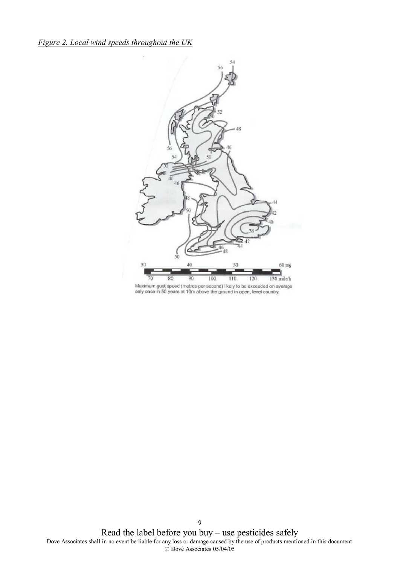